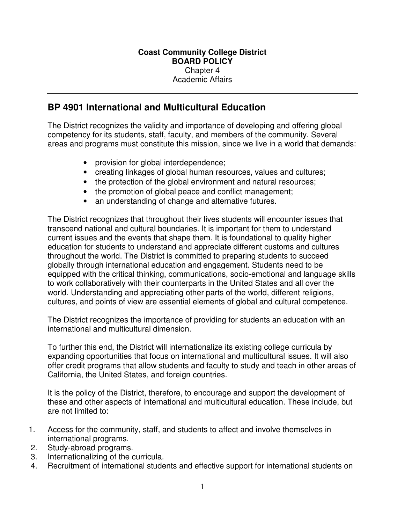## **BP 4901 International and Multicultural Education**

The District recognizes the validity and importance of developing and offering global competency for its students, staff, faculty, and members of the community. Several areas and programs must constitute this mission, since we live in a world that demands:

- provision for global interdependence;
- creating linkages of global human resources, values and cultures;
- the protection of the global environment and natural resources;
- the promotion of global peace and conflict management;
- an understanding of change and alternative futures.

The District recognizes that throughout their lives students will encounter issues that transcend national and cultural boundaries. It is important for them to understand current issues and the events that shape them. It is foundational to quality higher education for students to understand and appreciate different customs and cultures throughout the world. The District is committed to preparing students to succeed globally through international education and engagement. Students need to be equipped with the critical thinking, communications, socio-emotional and language skills to work collaboratively with their counterparts in the United States and all over the world. Understanding and appreciating other parts of the world, different religions, cultures, and points of view are essential elements of global and cultural competence.

The District recognizes the importance of providing for students an education with an international and multicultural dimension.

To further this end, the District will internationalize its existing college curricula by expanding opportunities that focus on international and multicultural issues. It will also offer credit programs that allow students and faculty to study and teach in other areas of California, the United States, and foreign countries.

It is the policy of the District, therefore, to encourage and support the development of these and other aspects of international and multicultural education. These include, but are not limited to:

- 1. Access for the community, staff, and students to affect and involve themselves in international programs.
- 2. Study-abroad programs.
- 3. Internationalizing of the curricula.
- 4. Recruitment of international students and effective support for international students on